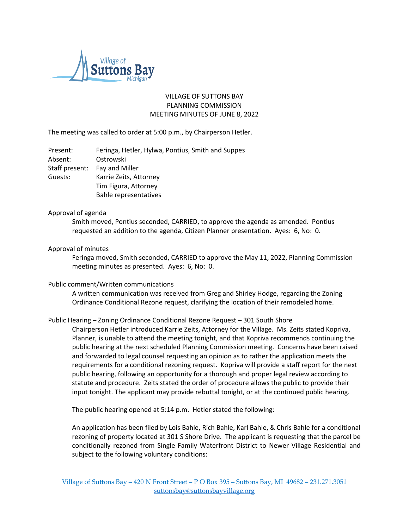

# VILLAGE OF SUTTONS BAY PLANNING COMMISSION MEETING MINUTES OF JUNE 8, 2022

The meeting was called to order at 5:00 p.m., by Chairperson Hetler.

| Present:       | Feringa, Hetler, Hylwa, Pontius, Smith and Suppes |
|----------------|---------------------------------------------------|
| Absent:        | Ostrowski                                         |
| Staff present: | Fay and Miller                                    |
| Guests:        | Karrie Zeits, Attorney                            |
|                | Tim Figura, Attorney                              |
|                | Bahle representatives                             |

## Approval of agenda

Smith moved, Pontius seconded, CARRIED, to approve the agenda as amended. Pontius requested an addition to the agenda, Citizen Planner presentation. Ayes: 6, No: 0.

## Approval of minutes

Feringa moved, Smith seconded, CARRIED to approve the May 11, 2022, Planning Commission meeting minutes as presented. Ayes: 6, No: 0.

### Public comment/Written communications

A written communication was received from Greg and Shirley Hodge, regarding the Zoning Ordinance Conditional Rezone request, clarifying the location of their remodeled home.

# Public Hearing – Zoning Ordinance Conditional Rezone Request – 301 South Shore

Chairperson Hetler introduced Karrie Zeits, Attorney for the Village. Ms. Zeits stated Kopriva, Planner, is unable to attend the meeting tonight, and that Kopriva recommends continuing the public hearing at the next scheduled Planning Commission meeting. Concerns have been raised and forwarded to legal counsel requesting an opinion as to rather the application meets the requirements for a conditional rezoning request. Kopriva will provide a staff report for the next public hearing, following an opportunity for a thorough and proper legal review according to statute and procedure. Zeits stated the order of procedure allows the public to provide their input tonight. The applicant may provide rebuttal tonight, or at the continued public hearing.

The public hearing opened at 5:14 p.m. Hetler stated the following:

An application has been filed by Lois Bahle, Rich Bahle, Karl Bahle, & Chris Bahle for a conditional rezoning of property located at 301 S Shore Drive. The applicant is requesting that the parcel be conditionally rezoned from Single Family Waterfront District to Newer Village Residential and subject to the following voluntary conditions: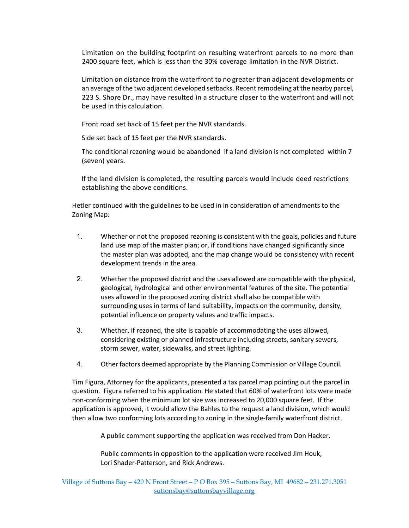Limitation on the building footprint on resulting waterfront parcels to no more than 2400 square feet, which is less than the 30% coverage limitation in the NVR District.

Limitation on distance from the waterfront to no greater than adjacent developments or an average of the two adjacent developed setbacks. Recent remodeling at the nearby parcel, 223 S. Shore Dr., may have resulted in a structure closer to the waterfront and will not be used in this calculation.

Front road set back of 15 feet per the NVR standards.

Side set back of 15 feet per the NVR standards.

The conditional rezoning would be abandoned if a land division is not completed within 7 (seven) years.

If the land division is completed, the resulting parcels would include deed restrictions establishing the above conditions.

Hetler continued with the guidelines to be used in in consideration of amendments to the Zoning Map:

- 1. Whether or not the proposed rezoning is consistent with the goals, policies and future land use map of the master plan; or, if conditions have changed significantly since the master plan was adopted, and the map change would be consistency with recent development trends in the area.
- 2. Whether the proposed district and the uses allowed are compatible with the physical, geological, hydrological and other environmental features of the site. The potential uses allowed in the proposed zoning district shall also be compatible with surrounding uses in terms of land suitability, impacts on the community, density, potential influence on property values and traffic impacts.
- 3. Whether, if rezoned, the site is capable of accommodating the uses allowed, considering existing or planned infrastructure including streets, sanitary sewers, storm sewer, water, sidewalks, and street lighting.
- 4. Otherfactors deemed appropriate by the Planning Commission or Village Council.

Tim Figura, Attorney for the applicants, presented a tax parcel map pointing out the parcel in question. Figura referred to his application. He stated that 60% of waterfront lots were made non-conforming when the minimum lot size was increased to 20,000 square feet. If the application is approved, it would allow the Bahles to the request a land division, which would then allow two conforming lots according to zoning in the single-family waterfront district.

A public comment supporting the application was received from Don Hacker.

Public comments in opposition to the application were received Jim Houk, Lori Shader-Patterson, and Rick Andrews.